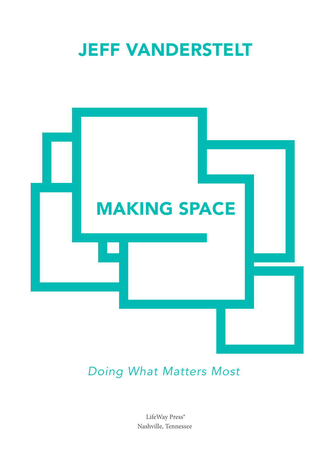



## *Doing What Matters Most*

LifeWay Press® Nashville, Tennessee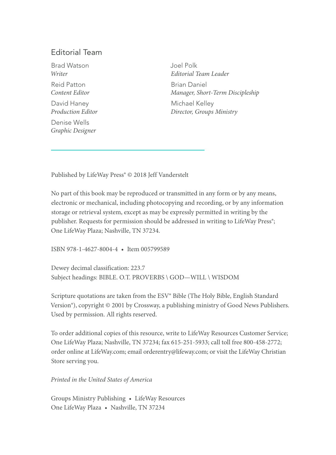#### Editorial Team

Brad Watson *Writer* Reid Patton *Content Editor* David Haney *Production Editor*

Denise Wells *Graphic Designer* Joel Polk *Editorial Team Leader* Brian Daniel *Manager, Short-Term Discipleship* Michael Kelley *Director, Groups Ministry*

Published by LifeWay Press® © 2018 Jeff Vanderstelt

No part of this book may be reproduced or transmitted in any form or by any means, electronic or mechanical, including photocopying and recording, or by any information storage or retrieval system, except as may be expressly permitted in writing by the publisher. Requests for permission should be addressed in writing to LifeWay Press<sup>®</sup>; One LifeWay Plaza; Nashville, TN 37234.

ISBN 978-1-4627-8004-4 • Item 005799589

Dewey decimal classification: 223.7 Subject headings: BIBLE. O.T. PROVERBS \ GOD—WILL \ WISDOM

Scripture quotations are taken from the ESV® Bible (The Holy Bible, English Standard Version®), copyright © 2001 by Crossway, a publishing ministry of Good News Publishers. Used by permission. All rights reserved.

To order additional copies of this resource, write to LifeWay Resources Customer Service; One LifeWay Plaza; Nashville, TN 37234; fax 615-251-5933; call toll free 800-458-2772; order online at LifeWay.com; email orderentry@lifeway.com; or visit the LifeWay Christian Store serving you.

*Printed in the United States of America*

Groups Ministry Publishing • LifeWay Resources One LifeWay Plaza • Nashville, TN 37234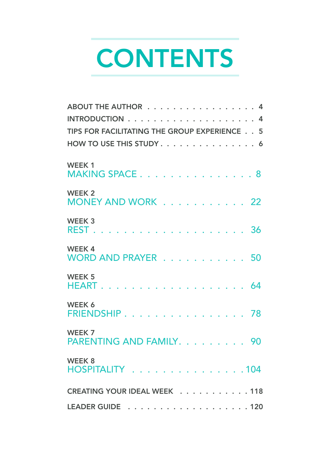# **CONTENTS**

| ABOUT THE AUTHOR 4<br>TIPS FOR FACILITATING THE GROUP EXPERIENCE 5<br>HOW TO USE THIS STUDY 6 |
|-----------------------------------------------------------------------------------------------|
| WEEK <sub>1</sub><br>MAKING SPACE8                                                            |
| WEEK <sub>2</sub><br>MONEY AND WORK 22                                                        |
| WEEK <sub>3</sub>                                                                             |
| <b>WEEK4</b><br>WORD AND PRAYER 50                                                            |
| <b>WEEK 5</b>                                                                                 |
| WEEK 6<br>FRIENDSHIP 78                                                                       |
| WEEK 7<br>PARENTING AND FAMILY. 90                                                            |
| WEEK 8<br>HOSPITALITY 104                                                                     |
| CREATING YOUR IDEAL WEEK 118                                                                  |
|                                                                                               |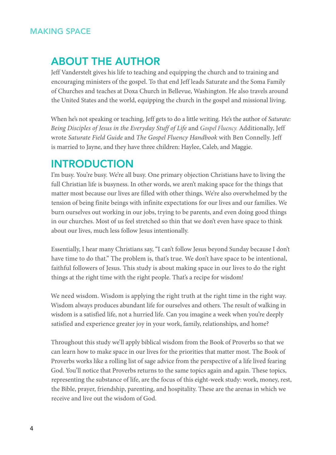### ABOUT THE AUTHOR

Jeff Vanderstelt gives his life to teaching and equipping the church and to training and encouraging ministers of the gospel. To that end Jeff leads Saturate and the Soma Family of Churches and teaches at Doxa Church in Bellevue, Washington. He also travels around the United States and the world, equipping the church in the gospel and missional living.

When he's not speaking or teaching, Jeff gets to do a little writing. He's the author of *Saturate: Being Disciples of Jesus in the Everyday Stuff of Life* and *Gospel Fluency.* Additionally, Jeff wrote *Saturate Field Guide* and *The Gospel Fluency Handbook* with Ben Connelly. Jeff is married to Jayne, and they have three children: Haylee, Caleb, and Maggie.

### **INTRODUCTION**

I'm busy. You're busy. We're all busy. One primary objection Christians have to living the full Christian life is busyness. In other words, we aren't making space for the things that matter most because our lives are filled with other things. We're also overwhelmed by the tension of being finite beings with infinite expectations for our lives and our families. We burn ourselves out working in our jobs, trying to be parents, and even doing good things in our churches. Most of us feel stretched so thin that we don't even have space to think about our lives, much less follow Jesus intentionally.

Essentially, I hear many Christians say, "I can't follow Jesus beyond Sunday because I don't have time to do that." The problem is, that's true. We don't have space to be intentional, faithful followers of Jesus. This study is about making space in our lives to do the right things at the right time with the right people. That's a recipe for wisdom!

We need wisdom. Wisdom is applying the right truth at the right time in the right way. Wisdom always produces abundant life for ourselves and others. The result of walking in wisdom is a satisfied life, not a hurried life. Can you imagine a week when you're deeply satisfied and experience greater joy in your work, family, relationships, and home?

Throughout this study we'll apply biblical wisdom from the Book of Proverbs so that we can learn how to make space in our lives for the priorities that matter most. The Book of Proverbs works like a rolling list of sage advice from the perspective of a life lived fearing God. You'll notice that Proverbs returns to the same topics again and again. These topics, representing the substance of life, are the focus of this eight-week study: work, money, rest, the Bible, prayer, friendship, parenting, and hospitality. These are the arenas in which we receive and live out the wisdom of God.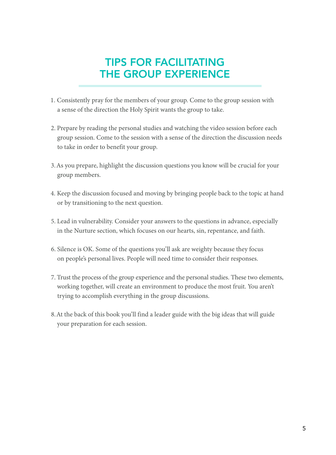## TIPS FOR FACILITATING THE GROUP EXPERIENCE

- 1. Consistently pray for the members of your group. Come to the group session with a sense of the direction the Holy Spirit wants the group to take.
- 2. Prepare by reading the personal studies and watching the video session before each group session. Come to the session with a sense of the direction the discussion needs to take in order to benefit your group.
- 3.As you prepare, highlight the discussion questions you know will be crucial for your group members.
- 4. Keep the discussion focused and moving by bringing people back to the topic at hand or by transitioning to the next question.
- 5. Lead in vulnerability. Consider your answers to the questions in advance, especially in the Nurture section, which focuses on our hearts, sin, repentance, and faith.
- 6. Silence is OK. Some of the questions you'll ask are weighty because they focus on people's personal lives. People will need time to consider their responses.
- 7. Trust the process of the group experience and the personal studies. These two elements, working together, will create an environment to produce the most fruit. You aren't trying to accomplish everything in the group discussions.
- 8.At the back of this book you'll find a leader guide with the big ideas that will guide your preparation for each session.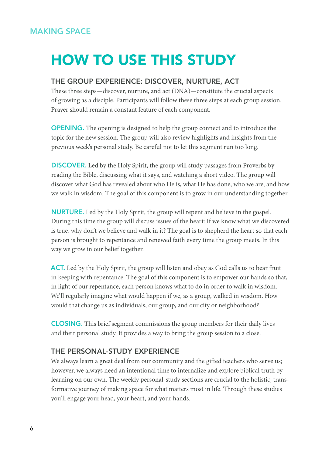## HOW TO USE THIS STUDY

#### THE GROUP EXPERIENCE: DISCOVER, NURTURE, ACT

These three steps—discover, nurture, and act (DNA)—constitute the crucial aspects of growing as a disciple. Participants will follow these three steps at each group session. Prayer should remain a constant feature of each component.

OPENING. The opening is designed to help the group connect and to introduce the topic for the new session. The group will also review highlights and insights from the previous week's personal study. Be careful not to let this segment run too long.

DISCOVER. Led by the Holy Spirit, the group will study passages from Proverbs by reading the Bible, discussing what it says, and watching a short video. The group will discover what God has revealed about who He is, what He has done, who we are, and how we walk in wisdom. The goal of this component is to grow in our understanding together.

NURTURE. Led by the Holy Spirit, the group will repent and believe in the gospel. During this time the group will discuss issues of the heart: If we know what we discovered is true, why don't we believe and walk in it? The goal is to shepherd the heart so that each person is brought to repentance and renewed faith every time the group meets. In this way we grow in our belief together.

ACT. Led by the Holy Spirit, the group will listen and obey as God calls us to bear fruit in keeping with repentance. The goal of this component is to empower our hands so that, in light of our repentance, each person knows what to do in order to walk in wisdom. We'll regularly imagine what would happen if we, as a group, walked in wisdom. How would that change us as individuals, our group, and our city or neighborhood?

CLOSING. This brief segment commissions the group members for their daily lives and their personal study. It provides a way to bring the group session to a close.

#### THE PERSONAL-STUDY EXPERIENCE

We always learn a great deal from our community and the gifted teachers who serve us; however, we always need an intentional time to internalize and explore biblical truth by learning on our own. The weekly personal-study sections are crucial to the holistic, transformative journey of making space for what matters most in life. Through these studies you'll engage your head, your heart, and your hands.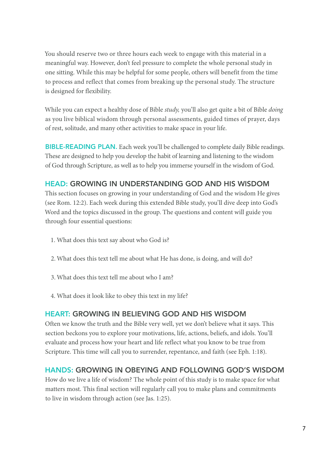You should reserve two or three hours each week to engage with this material in a meaningful way. However, don't feel pressure to complete the whole personal study in one sitting. While this may be helpful for some people, others will benefit from the time to process and reflect that comes from breaking up the personal study. The structure is designed for flexibility.

While you can expect a healthy dose of Bible *study,* you'll also get quite a bit of Bible *doing* as you live biblical wisdom through personal assessments, guided times of prayer, days of rest, solitude, and many other activities to make space in your life.

BIBLE-READING PLAN. Each week you'll be challenged to complete daily Bible readings. These are designed to help you develop the habit of learning and listening to the wisdom of God through Scripture, as well as to help you immerse yourself in the wisdom of God.

#### HEAD: GROWING IN UNDERSTANDING GOD AND HIS WISDOM

This section focuses on growing in your understanding of God and the wisdom He gives (see Rom. 12:2). Each week during this extended Bible study, you'll dive deep into God's Word and the topics discussed in the group. The questions and content will guide you through four essential questions:

- 1. What does this text say about who God is?
- 2. What does this text tell me about what He has done, is doing, and will do?
- 3. What does this text tell me about who I am?
- 4. What does it look like to obey this text in my life?

#### HEART: GROWING IN BELIEVING GOD AND HIS WISDOM

Often we know the truth and the Bible very well, yet we don't believe what it says. This section beckons you to explore your motivations, life, actions, beliefs, and idols. You'll evaluate and process how your heart and life reflect what you know to be true from Scripture. This time will call you to surrender, repentance, and faith (see Eph. 1:18).

#### HANDS: GROWING IN OBEYING AND FOLLOWING GOD'S WISDOM

How do we live a life of wisdom? The whole point of this study is to make space for what matters most. This final section will regularly call you to make plans and commitments to live in wisdom through action (see Jas. 1:25).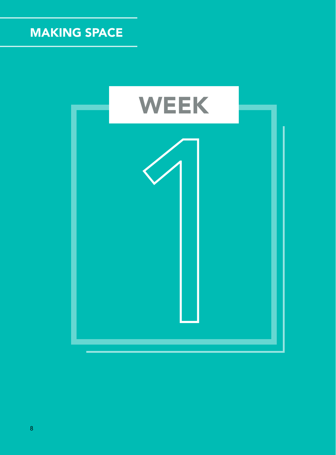

8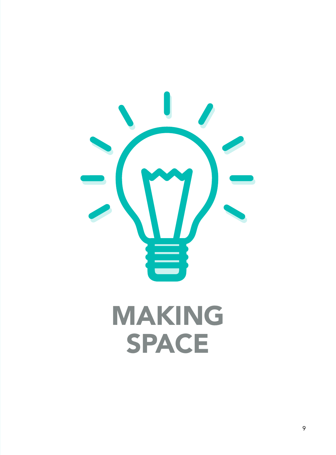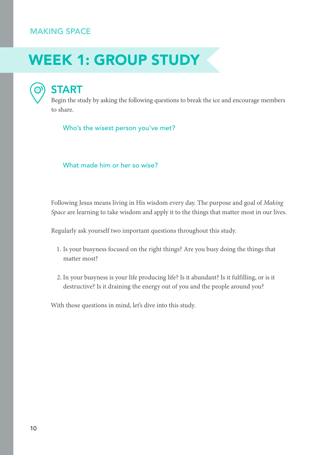## WEEK 1: GROUP STUDY

## START

Begin the study by asking the following questions to break the ice and encourage members to share.

Who's the wisest person you've met?

What made him or her so wise?

Following Jesus means living in His wisdom every day. The purpose and goal of *Making Space* are learning to take wisdom and apply it to the things that matter most in our lives.

Regularly ask yourself two important questions throughout this study.

- 1. Is your busyness focused on the right things? Are you busy doing the things that matter most?
- 2. In your busyness is your life producing life? Is it abundant? Is it fulfilling, or is it destructive? Is it draining the energy out of you and the people around you?

With those questions in mind, let's dive into this study.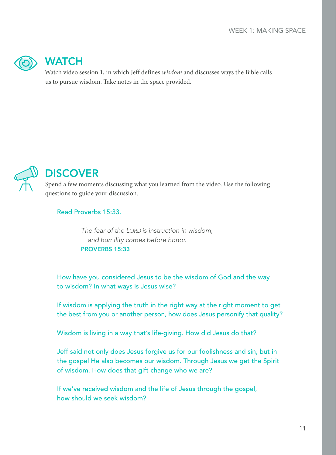

## WATCH

Watch video session 1, in which Jeff defines *wisdom* and discusses ways the Bible calls us to pursue wisdom. Take notes in the space provided.



## **DISCOVER**

Spend a few moments discussing what you learned from the video. Use the following questions to guide your discussion.

#### Read Proverbs 15:33.

*The fear of the LORD is instruction in wisdom, and humility comes before honor.*  PROVERBS 15:33

How have you considered Jesus to be the wisdom of God and the way to wisdom? In what ways is Jesus wise?

If wisdom is applying the truth in the right way at the right moment to get the best from you or another person, how does Jesus personify that quality?

Wisdom is living in a way that's life-giving. How did Jesus do that?

Jeff said not only does Jesus forgive us for our foolishness and sin, but in the gospel He also becomes our wisdom. Through Jesus we get the Spirit of wisdom. How does that gift change who we are?

If we've received wisdom and the life of Jesus through the gospel, how should we seek wisdom?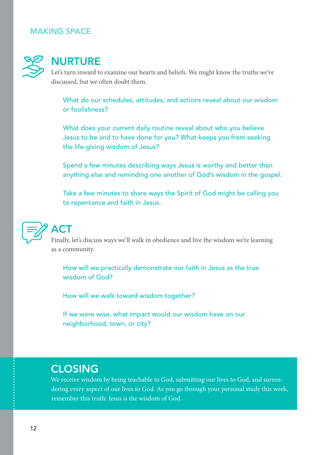

## **NURTURE**

Let's turn inward to examine our hearts and beliefs. We might know the truths we've discussed, but we often doubt them.

What do our schedules, attitudes, and actions reveal about our wisdom or foolishness?

What does your current daily routine reveal about who you believe Jesus to be and to have done for you? What keeps you from seeking the life-giving wisdom of Jesus?

Spend a few minutes describing ways Jesus is worthy and better than anything else and reminding one another of God's wisdom in the gospel.

Take a few minutes to share ways the Spirit of God might be calling you to repentance and faith in Jesus.



## ACT

Finally, let's discuss ways we'll walk in obedience and live the wisdom we're learning as a community.

How will we practically demonstrate our faith in Jesus as the true wisdom of God?

How will we walk toward wisdom together?

If we were wise, what impact would our wisdom have on our neighborhood, town, or city?

### CLOSING

We receive wisdom by being teachable to God, submitting our lives to God, and surrendering every aspect of our lives to God. As you go through your personal study this week, remember this truth: Jesus is the wisdom of God.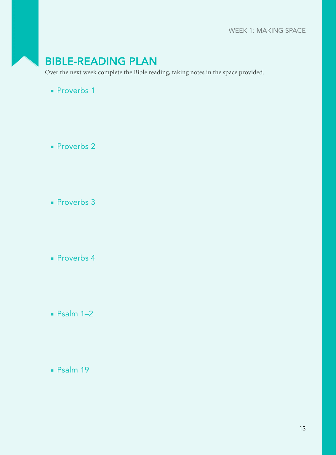## BIBLE-READING PLAN

Over the next week complete the Bible reading, taking notes in the space provided.

■ Proverbs 1

■ Proverbs 2

■ Proverbs 3

■ Proverbs 4

- Psalm 1–2
- Psalm 19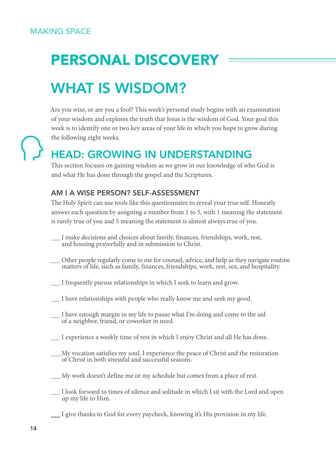## PERSONAL DISCOVERY WHAT IS WISDOM?

Are you wise, or are you a fool? This week's personal study begins with an examination of your wisdom and explores the truth that Jesus is the wisdom of God. Your goal this week is to identify one or two key areas of your life in which you hope to grow during the following eight weeks.

## HEAD: GROWING IN UNDERSTANDING

This section focuses on gaining wisdom as we grow in our knowledge of who God is and what He has done through the gospel and the Scriptures.

#### AM I A WISE PERSON? SELF-ASSESSMENT

The Holy Spirit can use tools like this questionnaire to reveal your true self. Honestly answer each question by assigning a number from 1 to 5, with 1 meaning the statement is rarely true of you and 5 meaning the statement is almost always true of you.

- I make decisions and choices about family, finances, friendships, work, rest, and housing prayerfully and in submission to Christ.
- Other people regularly come to me for counsel, advice, and help as they navigate routine matters of life, such as family, finances, friendships, work, rest, sex, and hospitality.
- I frequently pursue relationships in which I seek to learn and grow.
- I have relationships with people who really know me and seek my good.
- I have enough margin in my life to pause what I'm doing and come to the aid of a neighbor, friend, or coworker in need.
- I experience a weekly time of rest in which I enjoy Christ and all He has done.
- My vocation satisfies my soul. I experience the peace of Christ and the restoration of Christ in both stressful and successful seasons.
- My work doesn't define me or my schedule but comes from a place of rest.
- I look forward to times of silence and solitude in which I sit with the Lord and open up my life to Him.
- I give thanks to God for every paycheck, knowing it's His provision in my life.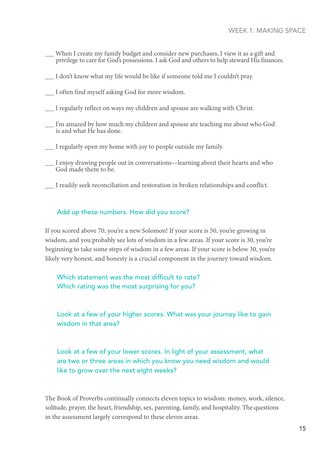- When I create my family budget and consider new purchases, I view it as a gift and privilege to care for God's possessions. I ask God and others to help steward His finances.
- I don't know what my life would be like if someone told me I couldn't pray.
- I often find myself asking God for more wisdom.
- I regularly reflect on ways my children and spouse are walking with Christ.
- I'm amazed by how much my children and spouse are teaching me about who God is and what He has done.
- I regularly open my home with joy to people outside my family.
- I enjoy drawing people out in conversations—learning about their hearts and who God made them to be.
- I readily seek reconciliation and restoration in broken relationships and conflict.

#### Add up these numbers. How did you score?

If you scored above 70, you're a new Solomon! If your score is 50, you're growing in wisdom, and you probably see lots of wisdom in a few areas. If your score is 30, you're beginning to take some steps of wisdom in a few areas. If your score is below 30, you're likely very honest, and honesty is a crucial component in the journey toward wisdom.

Which statement was the most difficult to rate? Which rating was the most surprising for you?

Look at a few of your higher scores. What was your journey like to gain wisdom in that area?

Look at a few of your lower scores. In light of your assessment, what are two or three areas in which you know you need wisdom and would like to grow over the next eight weeks?

The Book of Proverbs continually connects eleven topics to wisdom: money, work, silence, solitude, prayer, the heart, friendship, sex, parenting, family, and hospitality. The questions in the assessment largely correspond to these eleven areas.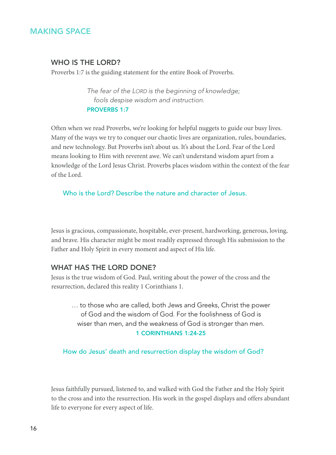#### WHO IS THE LORD?

Proverbs 1:7 is the guiding statement for the entire Book of Proverbs.

*The fear of the LORD is the beginning of knowledge; fools despise wisdom and instruction.* PROVERBS 1:7

Often when we read Proverbs, we're looking for helpful nuggets to guide our busy lives. Many of the ways we try to conquer our chaotic lives are organization, rules, boundaries, and new technology. But Proverbs isn't about us. It's about the Lord. Fear of the Lord means looking to Him with reverent awe. We can't understand wisdom apart from a knowledge of the Lord Jesus Christ. Proverbs places wisdom within the context of the fear of the Lord.

Who is the Lord? Describe the nature and character of Jesus.

Jesus is gracious, compassionate, hospitable, ever-present, hardworking, generous, loving, and brave. His character might be most readily expressed through His submission to the Father and Holy Spirit in every moment and aspect of His life.

#### WHAT HAS THE LORD DONE?

Jesus is the true wisdom of God. Paul, writing about the power of the cross and the resurrection, declared this reality 1 Corinthians 1.

… to those who are called, both Jews and Greeks, Christ the power of God and the wisdom of God. For the foolishness of God is wiser than men, and the weakness of God is stronger than men. 1 CORINTHIANS 1:24-25

How do Jesus' death and resurrection display the wisdom of God?

Jesus faithfully pursued, listened to, and walked with God the Father and the Holy Spirit to the cross and into the resurrection. His work in the gospel displays and offers abundant life to everyone for every aspect of life.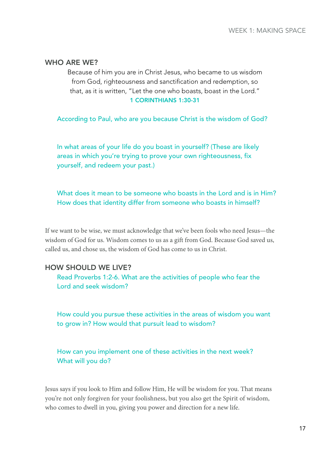#### WHO ARE WE?

Because of him you are in Christ Jesus, who became to us wisdom from God, righteousness and sanctification and redemption, so that, as it is written, "Let the one who boasts, boast in the Lord." 1 CORINTHIANS 1:30-31

According to Paul, who are you because Christ is the wisdom of God?

In what areas of your life do you boast in yourself? (These are likely areas in which you're trying to prove your own righteousness, fix yourself, and redeem your past.)

What does it mean to be someone who boasts in the Lord and is in Him? How does that identity differ from someone who boasts in himself?

If we want to be wise, we must acknowledge that we've been fools who need Jesus—the wisdom of God for us. Wisdom comes to us as a gift from God. Because God saved us, called us, and chose us, the wisdom of God has come to us in Christ.

#### HOW SHOULD WE LIVE?

Read Proverbs 1:2-6. What are the activities of people who fear the Lord and seek wisdom?

How could you pursue these activities in the areas of wisdom you want to grow in? How would that pursuit lead to wisdom?

How can you implement one of these activities in the next week? What will you do?

Jesus says if you look to Him and follow Him, He will be wisdom for you. That means you're not only forgiven for your foolishness, but you also get the Spirit of wisdom, who comes to dwell in you, giving you power and direction for a new life.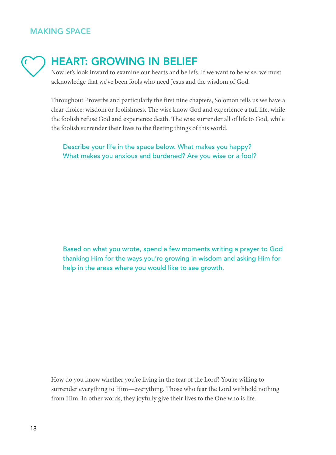## HEART: GROWING IN BELIEF

Now let's look inward to examine our hearts and beliefs. If we want to be wise, we must acknowledge that we've been fools who need Jesus and the wisdom of God.

Throughout Proverbs and particularly the first nine chapters, Solomon tells us we have a clear choice: wisdom or foolishness. The wise know God and experience a full life, while the foolish refuse God and experience death. The wise surrender all of life to God, while the foolish surrender their lives to the fleeting things of this world.

Describe your life in the space below. What makes you happy? What makes you anxious and burdened? Are you wise or a fool?

Based on what you wrote, spend a few moments writing a prayer to God thanking Him for the ways you're growing in wisdom and asking Him for help in the areas where you would like to see growth.

How do you know whether you're living in the fear of the Lord? You're willing to surrender everything to Him—everything. Those who fear the Lord withhold nothing from Him. In other words, they joyfully give their lives to the One who is life.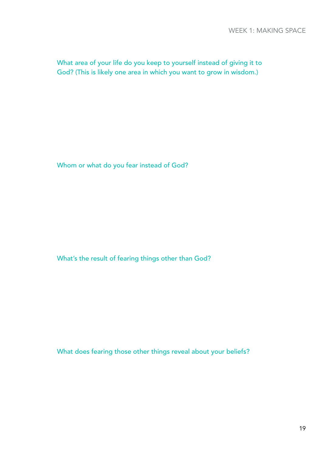What area of your life do you keep to yourself instead of giving it to God? (This is likely one area in which you want to grow in wisdom.)

Whom or what do you fear instead of God?

What's the result of fearing things other than God?

What does fearing those other things reveal about your beliefs?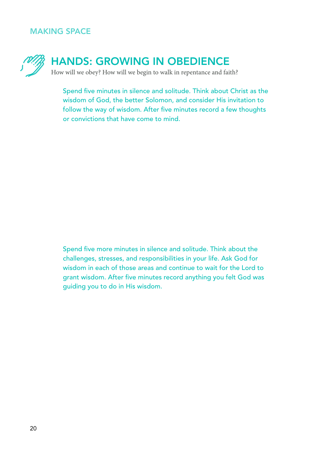

## HANDS: GROWING IN OBEDIENCE

How will we obey? How will we begin to walk in repentance and faith?

Spend five minutes in silence and solitude. Think about Christ as the wisdom of God, the better Solomon, and consider His invitation to follow the way of wisdom. After five minutes record a few thoughts or convictions that have come to mind.

Spend five more minutes in silence and solitude. Think about the challenges, stresses, and responsibilities in your life. Ask God for wisdom in each of those areas and continue to wait for the Lord to grant wisdom. After five minutes record anything you felt God was guiding you to do in His wisdom.